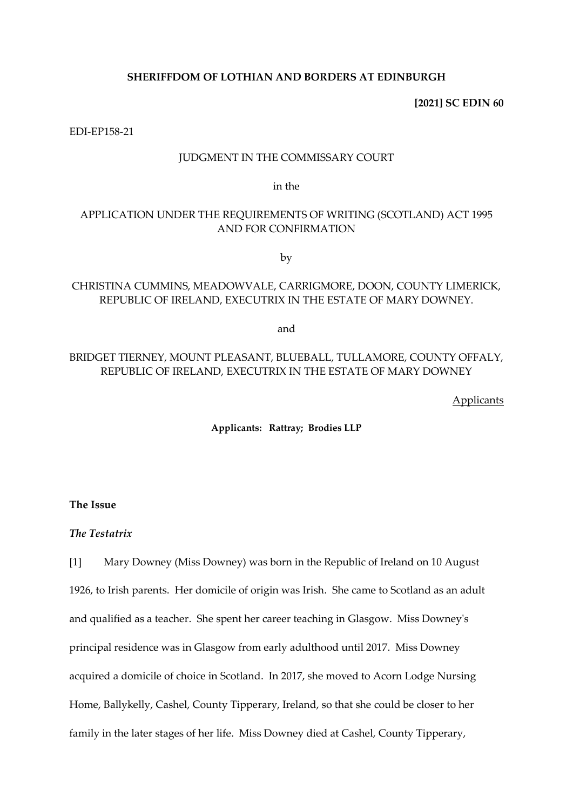## **SHERIFFDOM OF LOTHIAN AND BORDERS AT EDINBURGH**

**[2021] SC EDIN 60**

EDI-EP158-21

### JUDGMENT IN THE COMMISSARY COURT

in the

# APPLICATION UNDER THE REQUIREMENTS OF WRITING (SCOTLAND) ACT 1995 AND FOR CONFIRMATION

by

# CHRISTINA CUMMINS, MEADOWVALE, CARRIGMORE, DOON, COUNTY LIMERICK, REPUBLIC OF IRELAND, EXECUTRIX IN THE ESTATE OF MARY DOWNEY.

and

# BRIDGET TIERNEY, MOUNT PLEASANT, BLUEBALL, TULLAMORE, COUNTY OFFALY, REPUBLIC OF IRELAND, EXECUTRIX IN THE ESTATE OF MARY DOWNEY

**Applicants** 

**Applicants: Rattray; Brodies LLP**

**The Issue**

*The Testatrix*

[1] Mary Downey (Miss Downey) was born in the Republic of Ireland on 10 August 1926, to Irish parents. Her domicile of origin was Irish. She came to Scotland as an adult and qualified as a teacher. She spent her career teaching in Glasgow. Miss Downey's principal residence was in Glasgow from early adulthood until 2017. Miss Downey acquired a domicile of choice in Scotland. In 2017, she moved to Acorn Lodge Nursing Home, Ballykelly, Cashel, County Tipperary, Ireland, so that she could be closer to her family in the later stages of her life. Miss Downey died at Cashel, County Tipperary,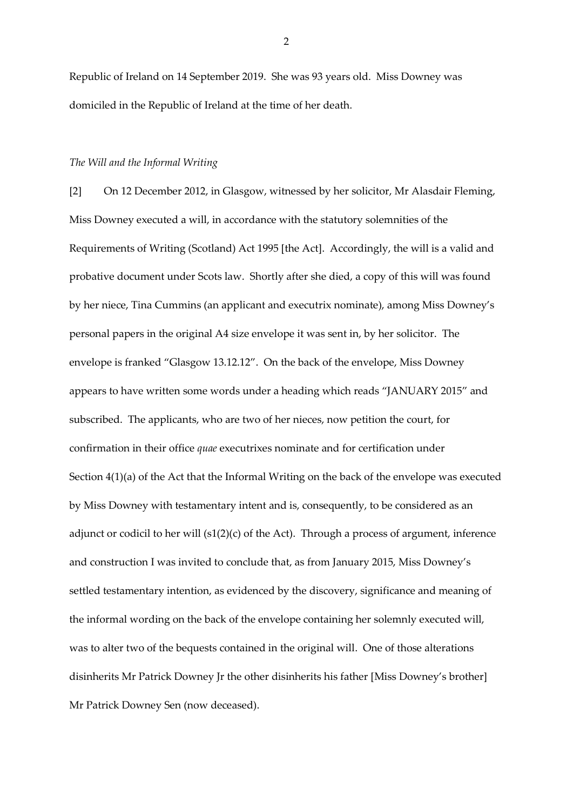Republic of Ireland on 14 September 2019. She was 93 years old. Miss Downey was domiciled in the Republic of Ireland at the time of her death.

#### *The Will and the Informal Writing*

[2] On 12 December 2012, in Glasgow, witnessed by her solicitor, Mr Alasdair Fleming, Miss Downey executed a will, in accordance with the statutory solemnities of the Requirements of Writing (Scotland) Act 1995 [the Act]. Accordingly, the will is a valid and probative document under Scots law. Shortly after she died, a copy of this will was found by her niece, Tina Cummins (an applicant and executrix nominate), among Miss Downey's personal papers in the original A4 size envelope it was sent in, by her solicitor. The envelope is franked "Glasgow 13.12.12". On the back of the envelope, Miss Downey appears to have written some words under a heading which reads "JANUARY 2015" and subscribed. The applicants, who are two of her nieces, now petition the court, for confirmation in their office *quae* executrixes nominate and for certification under Section 4(1)(a) of the Act that the Informal Writing on the back of the envelope was executed by Miss Downey with testamentary intent and is, consequently, to be considered as an adjunct or codicil to her will (s1(2)(c) of the Act). Through a process of argument, inference and construction I was invited to conclude that, as from January 2015, Miss Downey's settled testamentary intention, as evidenced by the discovery, significance and meaning of the informal wording on the back of the envelope containing her solemnly executed will, was to alter two of the bequests contained in the original will. One of those alterations disinherits Mr Patrick Downey Jr the other disinherits his father [Miss Downey's brother] Mr Patrick Downey Sen (now deceased).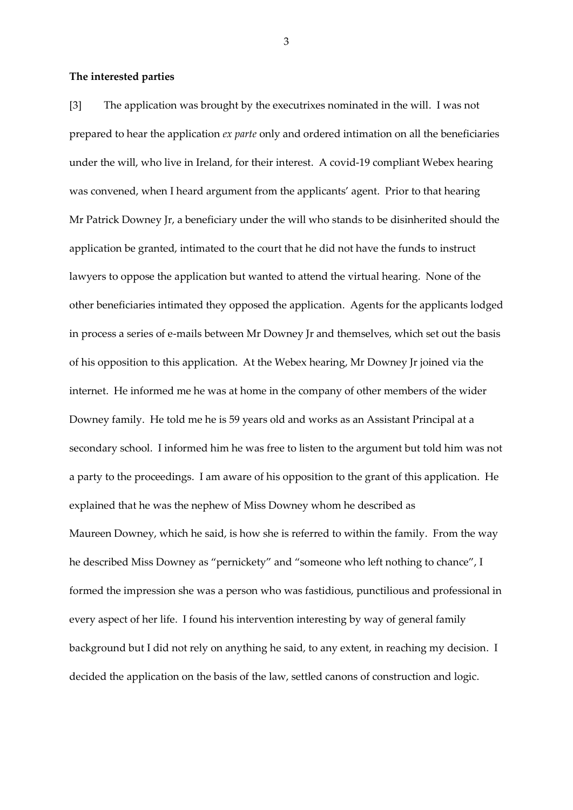#### **The interested parties**

[3] The application was brought by the executrixes nominated in the will. I was not prepared to hear the application *ex parte* only and ordered intimation on all the beneficiaries under the will, who live in Ireland, for their interest. A covid-19 compliant Webex hearing was convened, when I heard argument from the applicants' agent. Prior to that hearing Mr Patrick Downey Jr, a beneficiary under the will who stands to be disinherited should the application be granted, intimated to the court that he did not have the funds to instruct lawyers to oppose the application but wanted to attend the virtual hearing. None of the other beneficiaries intimated they opposed the application. Agents for the applicants lodged in process a series of e-mails between Mr Downey Jr and themselves, which set out the basis of his opposition to this application. At the Webex hearing, Mr Downey Jr joined via the internet. He informed me he was at home in the company of other members of the wider Downey family. He told me he is 59 years old and works as an Assistant Principal at a secondary school. I informed him he was free to listen to the argument but told him was not a party to the proceedings. I am aware of his opposition to the grant of this application. He explained that he was the nephew of Miss Downey whom he described as Maureen Downey, which he said, is how she is referred to within the family. From the way he described Miss Downey as "pernickety" and "someone who left nothing to chance", I formed the impression she was a person who was fastidious, punctilious and professional in every aspect of her life. I found his intervention interesting by way of general family background but I did not rely on anything he said, to any extent, in reaching my decision. I decided the application on the basis of the law, settled canons of construction and logic.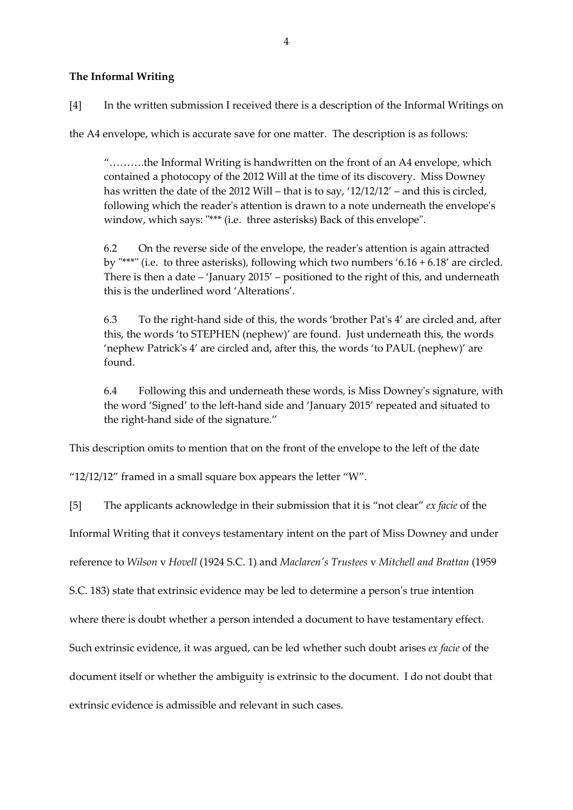# **The Informal Writing**

[4] In the written submission I received there is a description of the Informal Writings on

the A4 envelope, which is accurate save for one matter. The description is as follows:

"……….the Informal Writing is handwritten on the front of an A4 envelope, which contained a photocopy of the 2012 Will at the time of its discovery. Miss Downey has written the date of the 2012 Will – that is to say, '12/12/12' – and this is circled, following which the reader's attention is drawn to a note underneath the envelope's window, which says: "\*\*\* (i.e. three asterisks) Back of this envelope".

6.2 On the reverse side of the envelope, the reader's attention is again attracted by "\*\*\*" (i.e. to three asterisks), following which two numbers '6.16 + 6.18' are circled. There is then a date – 'January 2015' – positioned to the right of this, and underneath this is the underlined word 'Alterations'.

6.3 To the right-hand side of this, the words 'brother Pat's 4' are circled and, after this, the words 'to STEPHEN (nephew)' are found. Just underneath this, the words 'nephew Patrick's 4' are circled and, after this, the words 'to PAUL (nephew)' are found.

6.4 Following this and underneath these words, is Miss Downey's signature, with the word 'Signed' to the left-hand side and 'January 2015' repeated and situated to the right-hand side of the signature."

This description omits to mention that on the front of the envelope to the left of the date

" $12/12/12$ " framed in a small square box appears the letter "W".

[5] The applicants acknowledge in their submission that it is "not clear" *ex facie* of the

Informal Writing that it conveys testamentary intent on the part of Miss Downey and under

reference to *Wilson* v *Hovell* (1924 S.C. 1) and *Maclaren's Trustees* v *Mitchell and Brattan* (1959

S.C. 183) state that extrinsic evidence may be led to determine a person's true intention

where there is doubt whether a person intended a document to have testamentary effect.

Such extrinsic evidence, it was argued, can be led whether such doubt arises *ex facie* of the

document itself or whether the ambiguity is extrinsic to the document. I do not doubt that

extrinsic evidence is admissible and relevant in such cases.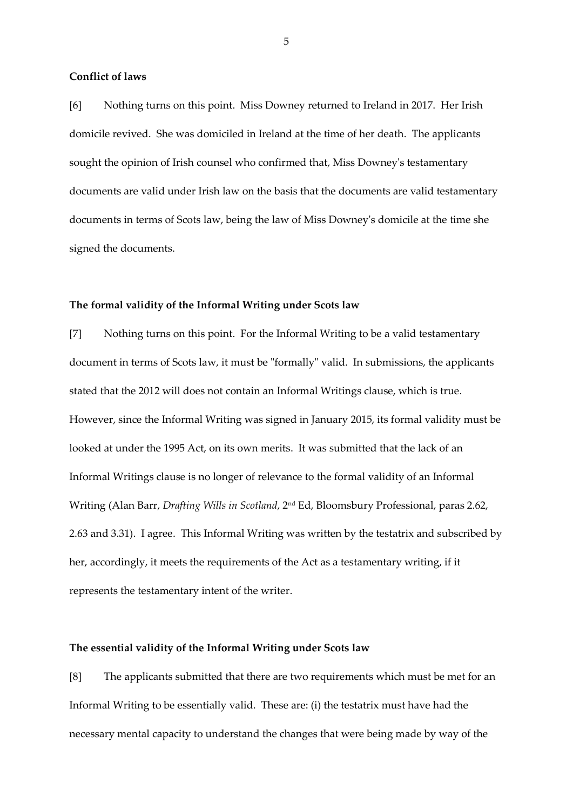#### **Conflict of laws**

[6] Nothing turns on this point. Miss Downey returned to Ireland in 2017. Her Irish domicile revived. She was domiciled in Ireland at the time of her death. The applicants sought the opinion of Irish counsel who confirmed that, Miss Downey's testamentary documents are valid under Irish law on the basis that the documents are valid testamentary documents in terms of Scots law, being the law of Miss Downey's domicile at the time she signed the documents.

#### **The formal validity of the Informal Writing under Scots law**

[7] Nothing turns on this point. For the Informal Writing to be a valid testamentary document in terms of Scots law, it must be "formally" valid. In submissions, the applicants stated that the 2012 will does not contain an Informal Writings clause, which is true. However, since the Informal Writing was signed in January 2015, its formal validity must be looked at under the 1995 Act, on its own merits. It was submitted that the lack of an Informal Writings clause is no longer of relevance to the formal validity of an Informal Writing (Alan Barr, *Drafting Wills in Scotland*, 2nd Ed, Bloomsbury Professional, paras 2.62, 2.63 and 3.31). I agree. This Informal Writing was written by the testatrix and subscribed by her, accordingly, it meets the requirements of the Act as a testamentary writing, if it represents the testamentary intent of the writer.

#### **The essential validity of the Informal Writing under Scots law**

[8] The applicants submitted that there are two requirements which must be met for an Informal Writing to be essentially valid. These are: (i) the testatrix must have had the necessary mental capacity to understand the changes that were being made by way of the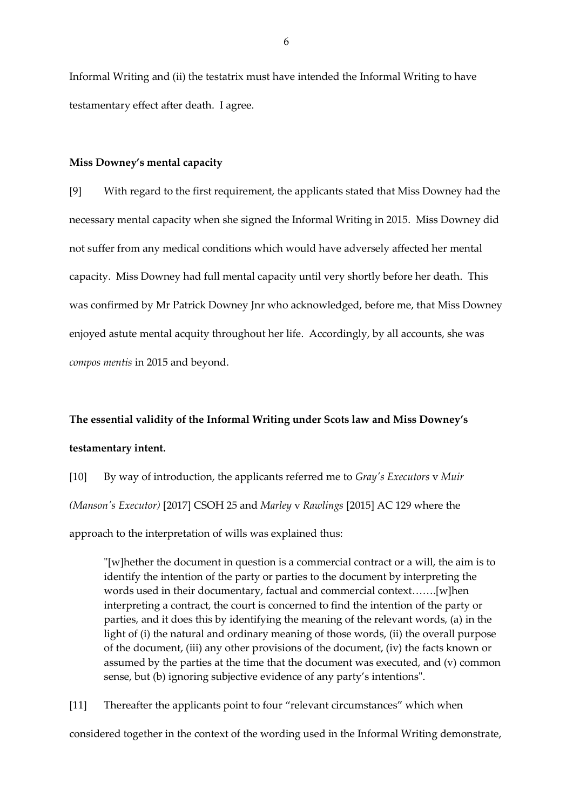Informal Writing and (ii) the testatrix must have intended the Informal Writing to have testamentary effect after death. I agree.

#### **Miss Downey's mental capacity**

[9] With regard to the first requirement, the applicants stated that Miss Downey had the necessary mental capacity when she signed the Informal Writing in 2015. Miss Downey did not suffer from any medical conditions which would have adversely affected her mental capacity. Miss Downey had full mental capacity until very shortly before her death. This was confirmed by Mr Patrick Downey Jnr who acknowledged, before me, that Miss Downey enjoyed astute mental acquity throughout her life. Accordingly, by all accounts, she was *compos mentis* in 2015 and beyond.

# **The essential validity of the Informal Writing under Scots law and Miss Downey's testamentary intent.**

[10] By way of introduction, the applicants referred me to *Gray's Executors* v *Muir (Manson's Executor)* [2017] CSOH 25 and *Marley* v *Rawlings* [2015] AC 129 where the approach to the interpretation of wills was explained thus:

"[w]hether the document in question is a commercial contract or a will, the aim is to identify the intention of the party or parties to the document by interpreting the words used in their documentary, factual and commercial context…….[w]hen interpreting a contract, the court is concerned to find the intention of the party or parties, and it does this by identifying the meaning of the relevant words, (a) in the light of (i) the natural and ordinary meaning of those words, (ii) the overall purpose of the document, (iii) any other provisions of the document, (iv) the facts known or assumed by the parties at the time that the document was executed, and (v) common sense, but (b) ignoring subjective evidence of any party's intentions".

[11] Thereafter the applicants point to four "relevant circumstances" which when

considered together in the context of the wording used in the Informal Writing demonstrate,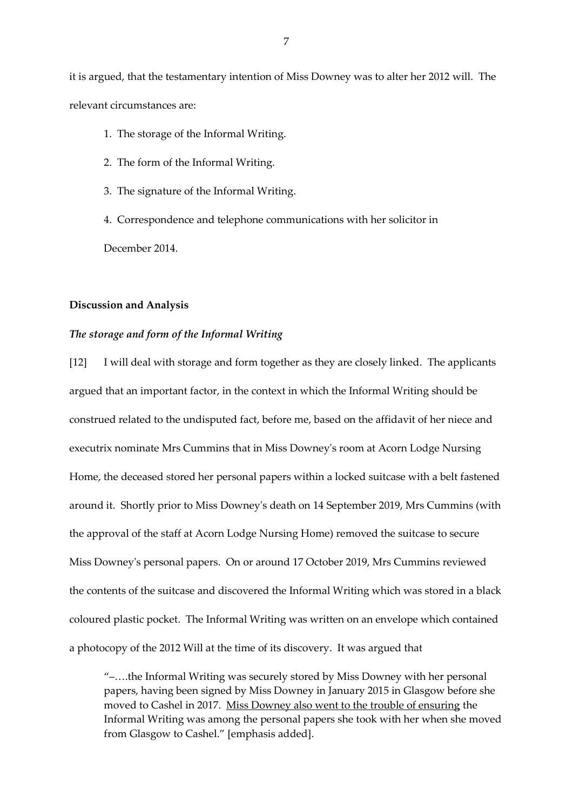it is argued, that the testamentary intention of Miss Downey was to alter her 2012 will. The relevant circumstances are:

- 1. The storage of the Informal Writing.
- 2. The form of the Informal Writing.
- 3. The signature of the Informal Writing.

4. Correspondence and telephone communications with her solicitor in December 2014.

#### **Discussion and Analysis**

## *The storage and form of the Informal Writing*

[12] I will deal with storage and form together as they are closely linked. The applicants argued that an important factor, in the context in which the Informal Writing should be construed related to the undisputed fact, before me, based on the affidavit of her niece and executrix nominate Mrs Cummins that in Miss Downey's room at Acorn Lodge Nursing Home, the deceased stored her personal papers within a locked suitcase with a belt fastened around it. Shortly prior to Miss Downey's death on 14 September 2019, Mrs Cummins (with the approval of the staff at Acorn Lodge Nursing Home) removed the suitcase to secure Miss Downey's personal papers. On or around 17 October 2019, Mrs Cummins reviewed the contents of the suitcase and discovered the Informal Writing which was stored in a black coloured plastic pocket. The Informal Writing was written on an envelope which contained a photocopy of the 2012 Will at the time of its discovery. It was argued that

"–….the Informal Writing was securely stored by Miss Downey with her personal papers, having been signed by Miss Downey in January 2015 in Glasgow before she moved to Cashel in 2017. Miss Downey also went to the trouble of ensuring the Informal Writing was among the personal papers she took with her when she moved from Glasgow to Cashel." [emphasis added].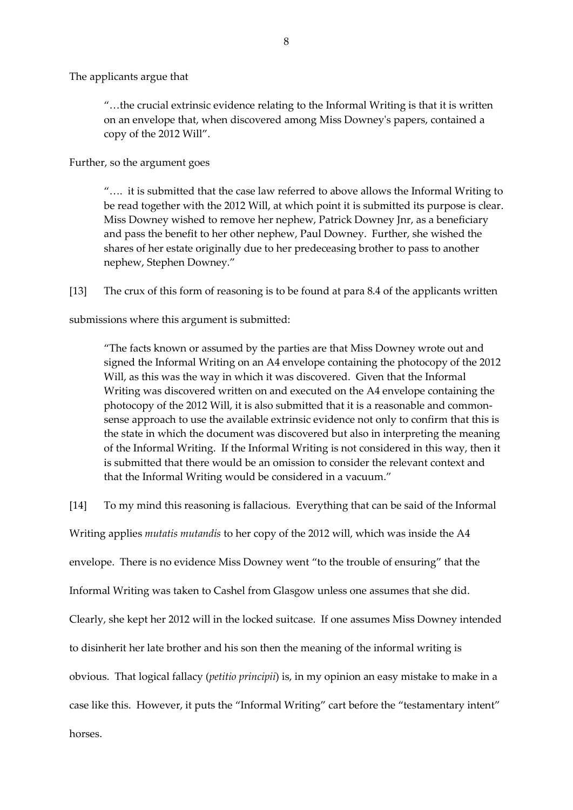The applicants argue that

"…the crucial extrinsic evidence relating to the Informal Writing is that it is written on an envelope that, when discovered among Miss Downey's papers, contained a copy of the 2012 Will".

Further, so the argument goes

"…. it is submitted that the case law referred to above allows the Informal Writing to be read together with the 2012 Will, at which point it is submitted its purpose is clear. Miss Downey wished to remove her nephew, Patrick Downey Jnr, as a beneficiary and pass the benefit to her other nephew, Paul Downey. Further, she wished the shares of her estate originally due to her predeceasing brother to pass to another nephew, Stephen Downey."

[13] The crux of this form of reasoning is to be found at para 8.4 of the applicants written

submissions where this argument is submitted:

"The facts known or assumed by the parties are that Miss Downey wrote out and signed the Informal Writing on an A4 envelope containing the photocopy of the 2012 Will, as this was the way in which it was discovered. Given that the Informal Writing was discovered written on and executed on the A4 envelope containing the photocopy of the 2012 Will, it is also submitted that it is a reasonable and commonsense approach to use the available extrinsic evidence not only to confirm that this is the state in which the document was discovered but also in interpreting the meaning of the Informal Writing. If the Informal Writing is not considered in this way, then it is submitted that there would be an omission to consider the relevant context and that the Informal Writing would be considered in a vacuum."

[14] To my mind this reasoning is fallacious. Everything that can be said of the Informal

Writing applies *mutatis mutandis* to her copy of the 2012 will, which was inside the A4

envelope. There is no evidence Miss Downey went "to the trouble of ensuring" that the

Informal Writing was taken to Cashel from Glasgow unless one assumes that she did.

Clearly, she kept her 2012 will in the locked suitcase. If one assumes Miss Downey intended

to disinherit her late brother and his son then the meaning of the informal writing is

obvious. That logical fallacy (*petitio principii*) is, in my opinion an easy mistake to make in a

case like this. However, it puts the "Informal Writing" cart before the "testamentary intent"

horses.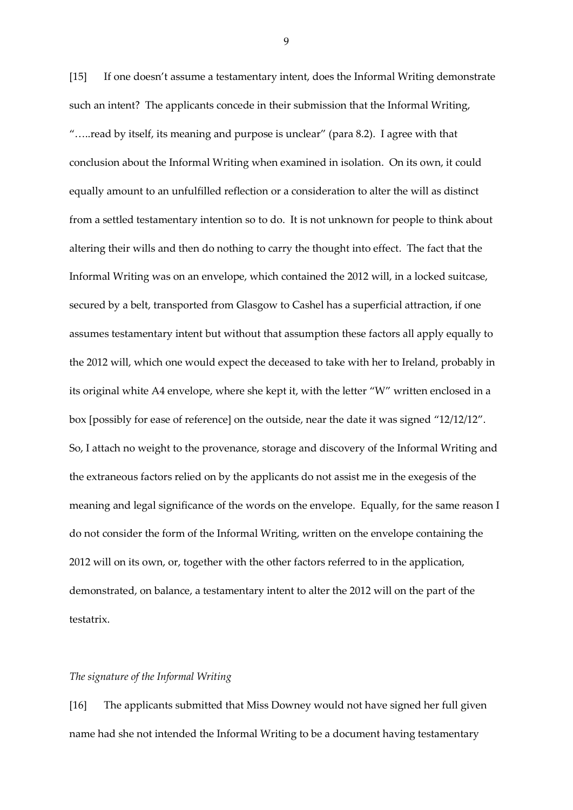[15] If one doesn't assume a testamentary intent, does the Informal Writing demonstrate such an intent? The applicants concede in their submission that the Informal Writing, "…..read by itself, its meaning and purpose is unclear" (para 8.2). I agree with that conclusion about the Informal Writing when examined in isolation. On its own, it could equally amount to an unfulfilled reflection or a consideration to alter the will as distinct from a settled testamentary intention so to do. It is not unknown for people to think about altering their wills and then do nothing to carry the thought into effect. The fact that the Informal Writing was on an envelope, which contained the 2012 will, in a locked suitcase, secured by a belt, transported from Glasgow to Cashel has a superficial attraction, if one assumes testamentary intent but without that assumption these factors all apply equally to the 2012 will, which one would expect the deceased to take with her to Ireland, probably in its original white A4 envelope, where she kept it, with the letter "W" written enclosed in a box [possibly for ease of reference] on the outside, near the date it was signed "12/12/12". So, I attach no weight to the provenance, storage and discovery of the Informal Writing and the extraneous factors relied on by the applicants do not assist me in the exegesis of the meaning and legal significance of the words on the envelope. Equally, for the same reason I do not consider the form of the Informal Writing, written on the envelope containing the 2012 will on its own, or, together with the other factors referred to in the application, demonstrated, on balance, a testamentary intent to alter the 2012 will on the part of the testatrix.

#### *The signature of the Informal Writing*

[16] The applicants submitted that Miss Downey would not have signed her full given name had she not intended the Informal Writing to be a document having testamentary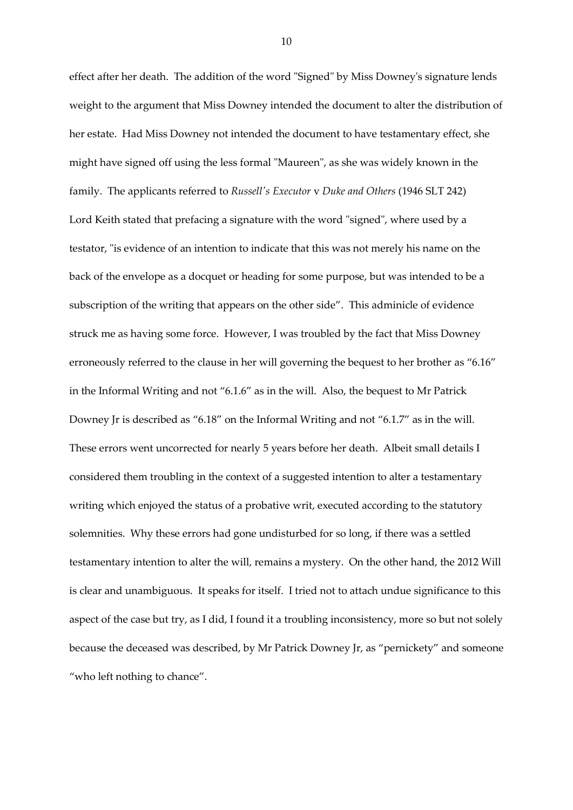effect after her death. The addition of the word "Signed" by Miss Downey's signature lends weight to the argument that Miss Downey intended the document to alter the distribution of her estate. Had Miss Downey not intended the document to have testamentary effect, she might have signed off using the less formal "Maureen", as she was widely known in the family. The applicants referred to *Russell's Executor* v *Duke and Others* (1946 SLT 242) Lord Keith stated that prefacing a signature with the word "signed", where used by a testator, "is evidence of an intention to indicate that this was not merely his name on the back of the envelope as a docquet or heading for some purpose, but was intended to be a subscription of the writing that appears on the other side". This adminicle of evidence struck me as having some force. However, I was troubled by the fact that Miss Downey erroneously referred to the clause in her will governing the bequest to her brother as "6.16" in the Informal Writing and not "6.1.6" as in the will. Also, the bequest to Mr Patrick Downey Jr is described as "6.18" on the Informal Writing and not "6.1.7" as in the will. These errors went uncorrected for nearly 5 years before her death. Albeit small details I considered them troubling in the context of a suggested intention to alter a testamentary writing which enjoyed the status of a probative writ, executed according to the statutory solemnities. Why these errors had gone undisturbed for so long, if there was a settled testamentary intention to alter the will, remains a mystery. On the other hand, the 2012 Will is clear and unambiguous. It speaks for itself. I tried not to attach undue significance to this aspect of the case but try, as I did, I found it a troubling inconsistency, more so but not solely because the deceased was described, by Mr Patrick Downey Jr, as "pernickety" and someone "who left nothing to chance".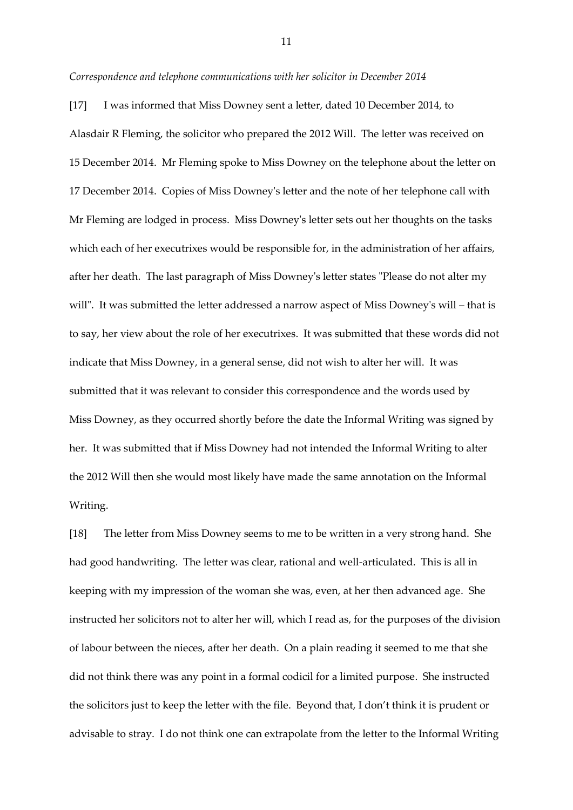#### *Correspondence and telephone communications with her solicitor in December 2014*

[17] I was informed that Miss Downey sent a letter, dated 10 December 2014, to Alasdair R Fleming, the solicitor who prepared the 2012 Will. The letter was received on 15 December 2014. Mr Fleming spoke to Miss Downey on the telephone about the letter on 17 December 2014. Copies of Miss Downey's letter and the note of her telephone call with Mr Fleming are lodged in process. Miss Downey's letter sets out her thoughts on the tasks which each of her executrixes would be responsible for, in the administration of her affairs, after her death. The last paragraph of Miss Downey's letter states "Please do not alter my will". It was submitted the letter addressed a narrow aspect of Miss Downey's will – that is to say, her view about the role of her executrixes. It was submitted that these words did not indicate that Miss Downey, in a general sense, did not wish to alter her will. It was submitted that it was relevant to consider this correspondence and the words used by Miss Downey, as they occurred shortly before the date the Informal Writing was signed by her. It was submitted that if Miss Downey had not intended the Informal Writing to alter the 2012 Will then she would most likely have made the same annotation on the Informal Writing.

[18] The letter from Miss Downey seems to me to be written in a very strong hand. She had good handwriting. The letter was clear, rational and well-articulated. This is all in keeping with my impression of the woman she was, even, at her then advanced age. She instructed her solicitors not to alter her will, which I read as, for the purposes of the division of labour between the nieces, after her death. On a plain reading it seemed to me that she did not think there was any point in a formal codicil for a limited purpose. She instructed the solicitors just to keep the letter with the file. Beyond that, I don't think it is prudent or advisable to stray. I do not think one can extrapolate from the letter to the Informal Writing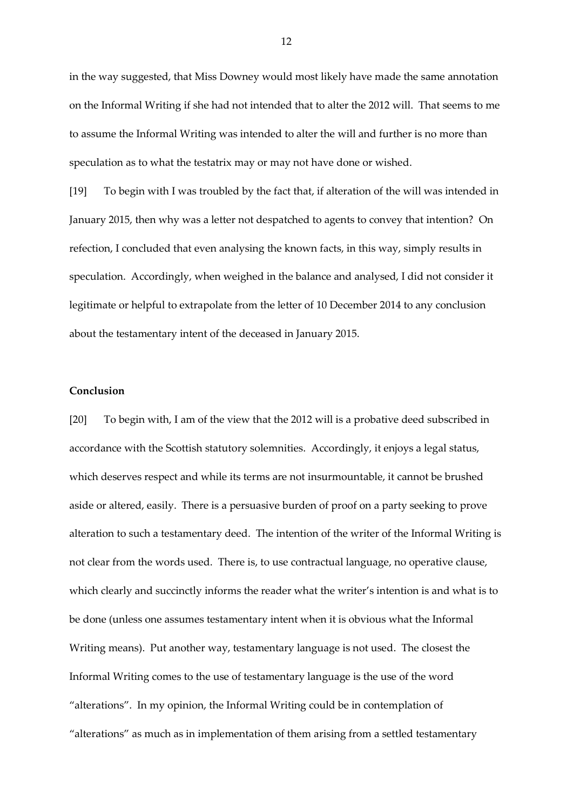in the way suggested, that Miss Downey would most likely have made the same annotation on the Informal Writing if she had not intended that to alter the 2012 will. That seems to me to assume the Informal Writing was intended to alter the will and further is no more than speculation as to what the testatrix may or may not have done or wished.

[19] To begin with I was troubled by the fact that, if alteration of the will was intended in January 2015, then why was a letter not despatched to agents to convey that intention? On refection, I concluded that even analysing the known facts, in this way, simply results in speculation. Accordingly, when weighed in the balance and analysed, I did not consider it legitimate or helpful to extrapolate from the letter of 10 December 2014 to any conclusion about the testamentary intent of the deceased in January 2015.

## **Conclusion**

[20] To begin with, I am of the view that the 2012 will is a probative deed subscribed in accordance with the Scottish statutory solemnities. Accordingly, it enjoys a legal status, which deserves respect and while its terms are not insurmountable, it cannot be brushed aside or altered, easily. There is a persuasive burden of proof on a party seeking to prove alteration to such a testamentary deed. The intention of the writer of the Informal Writing is not clear from the words used. There is, to use contractual language, no operative clause, which clearly and succinctly informs the reader what the writer's intention is and what is to be done (unless one assumes testamentary intent when it is obvious what the Informal Writing means). Put another way, testamentary language is not used. The closest the Informal Writing comes to the use of testamentary language is the use of the word "alterations". In my opinion, the Informal Writing could be in contemplation of "alterations" as much as in implementation of them arising from a settled testamentary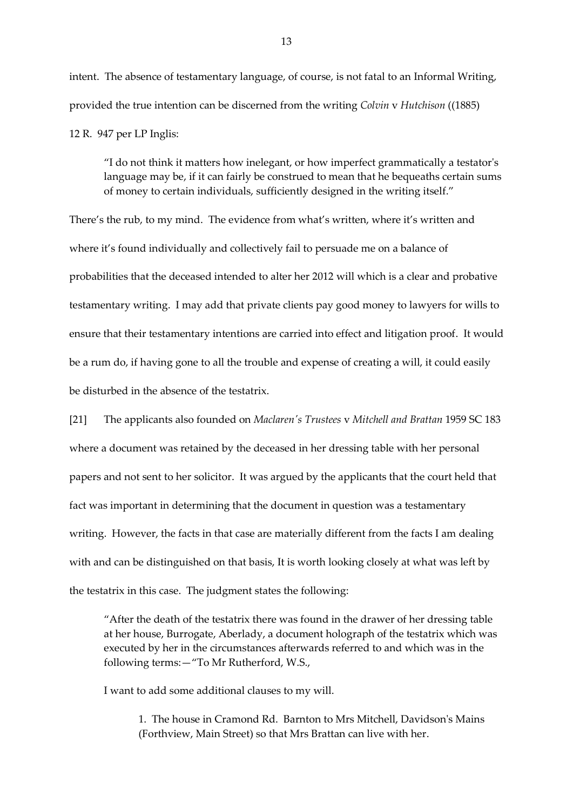intent. The absence of testamentary language, of course, is not fatal to an Informal Writing, provided the true intention can be discerned from the writing *Colvin* v *Hutchison* ((1885) 12 R. 947 per LP Inglis:

"I do not think it matters how inelegant, or how imperfect grammatically a testator's language may be, if it can fairly be construed to mean that he bequeaths certain sums of money to certain individuals, sufficiently designed in the writing itself."

There's the rub, to my mind. The evidence from what's written, where it's written and where it's found individually and collectively fail to persuade me on a balance of probabilities that the deceased intended to alter her 2012 will which is a clear and probative testamentary writing. I may add that private clients pay good money to lawyers for wills to ensure that their testamentary intentions are carried into effect and litigation proof. It would be a rum do, if having gone to all the trouble and expense of creating a will, it could easily be disturbed in the absence of the testatrix.

[21] The applicants also founded on *Maclaren's Trustees* v *Mitchell and Brattan* 1959 SC 183 where a document was retained by the deceased in her dressing table with her personal papers and not sent to her solicitor. It was argued by the applicants that the court held that fact was important in determining that the document in question was a testamentary writing. However, the facts in that case are materially different from the facts I am dealing with and can be distinguished on that basis, It is worth looking closely at what was left by the testatrix in this case. The judgment states the following:

"After the death of the testatrix there was found in the drawer of her dressing table at her house, Burrogate, Aberlady, a document holograph of the testatrix which was executed by her in the circumstances afterwards referred to and which was in the following terms:—"To Mr Rutherford, W.S.,

I want to add some additional clauses to my will.

1. The house in Cramond Rd. Barnton to Mrs Mitchell, Davidson's Mains (Forthview, Main Street) so that Mrs Brattan can live with her.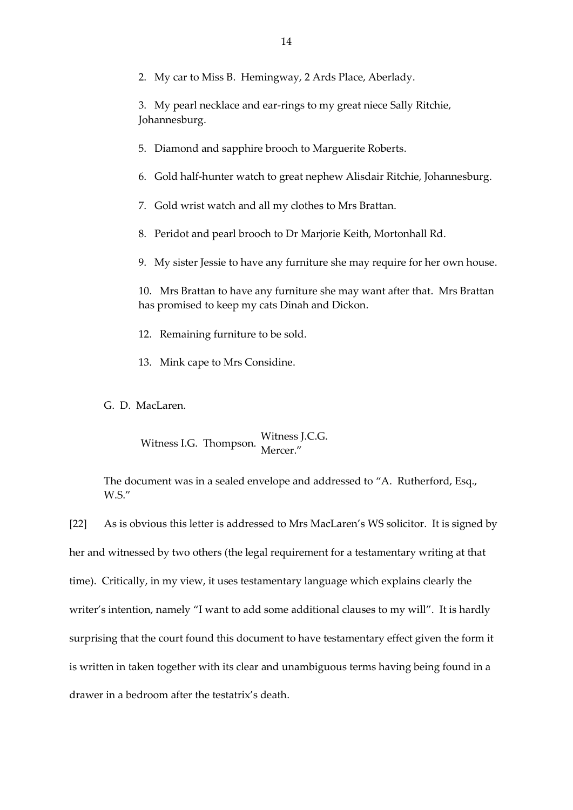2. My car to Miss B. Hemingway, 2 Ards Place, Aberlady.

3. My pearl necklace and ear-rings to my great niece Sally Ritchie, Johannesburg.

- 5. Diamond and sapphire brooch to Marguerite Roberts.
- 6. Gold half-hunter watch to great nephew Alisdair Ritchie, Johannesburg.
- 7. Gold wrist watch and all my clothes to Mrs Brattan.
- 8. Peridot and pearl brooch to Dr Marjorie Keith, Mortonhall Rd.
- 9. My sister Jessie to have any furniture she may require for her own house.

10. Mrs Brattan to have any furniture she may want after that. Mrs Brattan has promised to keep my cats Dinah and Dickon.

- 12. Remaining furniture to be sold.
- 13. Mink cape to Mrs Considine.

G. D. MacLaren.

Witness I.G. Thompson. Witness J.C.G. Mercer."

The document was in a sealed envelope and addressed to "A. Rutherford, Esq., W.S."

[22] As is obvious this letter is addressed to Mrs MacLaren's WS solicitor. It is signed by her and witnessed by two others (the legal requirement for a testamentary writing at that time). Critically, in my view, it uses testamentary language which explains clearly the writer's intention, namely "I want to add some additional clauses to my will". It is hardly surprising that the court found this document to have testamentary effect given the form it is written in taken together with its clear and unambiguous terms having being found in a drawer in a bedroom after the testatrix's death.